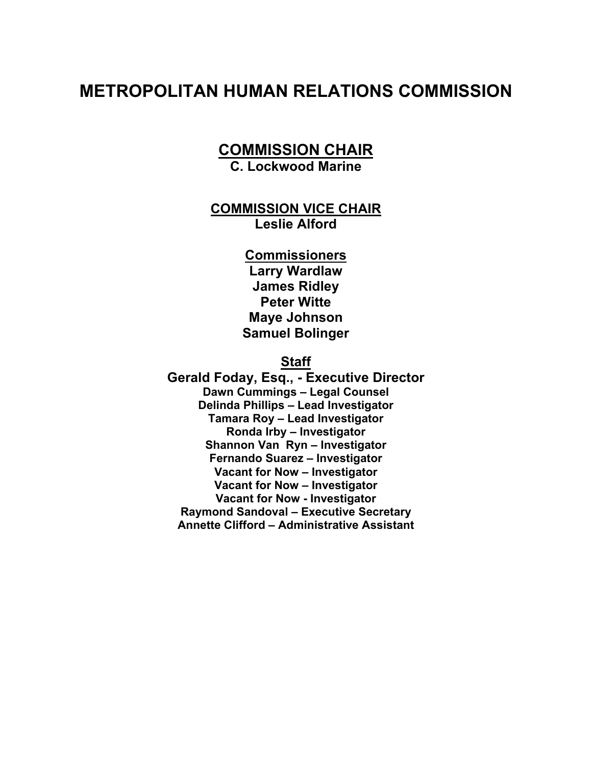## METROPOLITAN HUMAN RELATIONS COMMISSION

## COMMISSION CHAIR

C. Lockwood Marine

COMMISSION VICE CHAIR Leslie Alford

> **Commissioners** Larry Wardlaw James Ridley Peter Witte Maye Johnson Samuel Bolinger

> > Staff

Gerald Foday, Esq., - Executive Director Dawn Cummings – Legal Counsel Delinda Phillips – Lead Investigator Tamara Roy – Lead Investigator Ronda Irby – Investigator Shannon Van Ryn – Investigator Fernando Suarez – Investigator Vacant for Now – Investigator Vacant for Now – Investigator Vacant for Now - Investigator Raymond Sandoval – Executive Secretary Annette Clifford – Administrative Assistant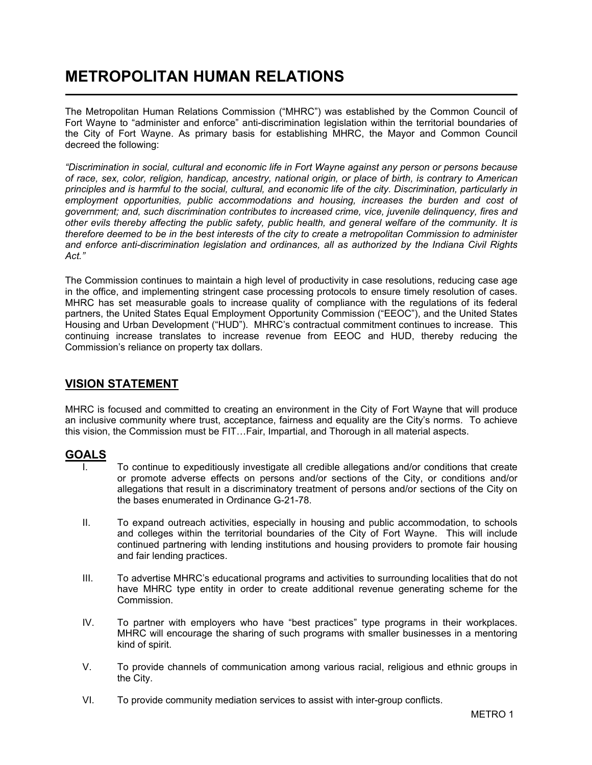# METROPOLITAN HUMAN RELATIONS

The Metropolitan Human Relations Commission ("MHRC") was established by the Common Council of Fort Wayne to "administer and enforce" anti-discrimination legislation within the territorial boundaries of the City of Fort Wayne. As primary basis for establishing MHRC, the Mayor and Common Council decreed the following:

"Discrimination in social, cultural and economic life in Fort Wayne against any person or persons because of race, sex, color, religion, handicap, ancestry, national origin, or place of birth, is contrary to American principles and is harmful to the social, cultural, and economic life of the city. Discrimination, particularly in employment opportunities, public accommodations and housing, increases the burden and cost of government; and, such discrimination contributes to increased crime, vice, juvenile delinquency, fires and other evils thereby affecting the public safety, public health, and general welfare of the community. It is therefore deemed to be in the best interests of the city to create a metropolitan Commission to administer and enforce anti-discrimination legislation and ordinances, all as authorized by the Indiana Civil Rights Act."

The Commission continues to maintain a high level of productivity in case resolutions, reducing case age in the office, and implementing stringent case processing protocols to ensure timely resolution of cases. MHRC has set measurable goals to increase quality of compliance with the regulations of its federal partners, the United States Equal Employment Opportunity Commission ("EEOC"), and the United States Housing and Urban Development ("HUD"). MHRC's contractual commitment continues to increase. This continuing increase translates to increase revenue from EEOC and HUD, thereby reducing the Commission's reliance on property tax dollars.

#### VISION STATEMENT

MHRC is focused and committed to creating an environment in the City of Fort Wayne that will produce an inclusive community where trust, acceptance, fairness and equality are the City's norms. To achieve this vision, the Commission must be FIT…Fair, Impartial, and Thorough in all material aspects.

#### GOALS

l

- To continue to expeditiously investigate all credible allegations and/or conditions that create or promote adverse effects on persons and/or sections of the City, or conditions and/or allegations that result in a discriminatory treatment of persons and/or sections of the City on the bases enumerated in Ordinance G-21-78.
- II. To expand outreach activities, especially in housing and public accommodation, to schools and colleges within the territorial boundaries of the City of Fort Wayne. This will include continued partnering with lending institutions and housing providers to promote fair housing and fair lending practices.
- III. To advertise MHRC's educational programs and activities to surrounding localities that do not have MHRC type entity in order to create additional revenue generating scheme for the Commission.
- IV. To partner with employers who have "best practices" type programs in their workplaces. MHRC will encourage the sharing of such programs with smaller businesses in a mentoring kind of spirit.
- V. To provide channels of communication among various racial, religious and ethnic groups in the City.
- VI. To provide community mediation services to assist with inter-group conflicts.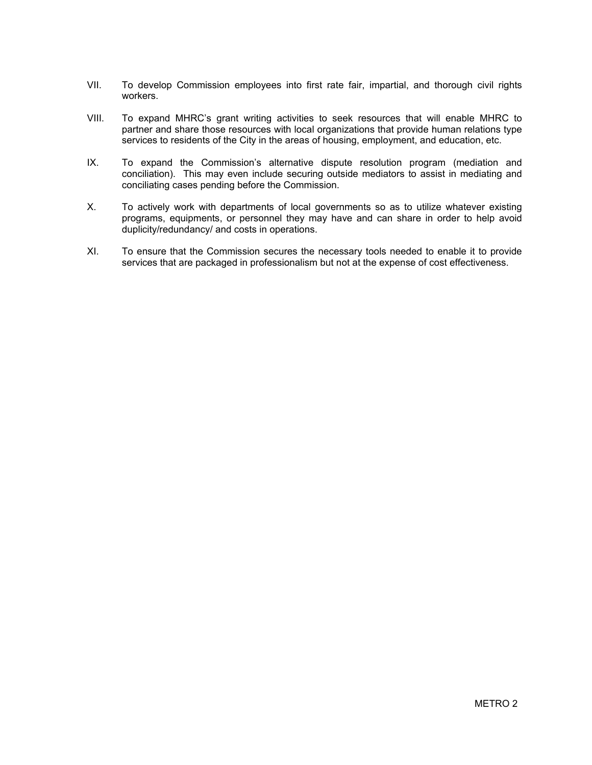- VII. To develop Commission employees into first rate fair, impartial, and thorough civil rights workers.
- VIII. To expand MHRC's grant writing activities to seek resources that will enable MHRC to partner and share those resources with local organizations that provide human relations type services to residents of the City in the areas of housing, employment, and education, etc.
- IX. To expand the Commission's alternative dispute resolution program (mediation and conciliation). This may even include securing outside mediators to assist in mediating and conciliating cases pending before the Commission.
- X. To actively work with departments of local governments so as to utilize whatever existing programs, equipments, or personnel they may have and can share in order to help avoid duplicity/redundancy/ and costs in operations.
- XI. To ensure that the Commission secures the necessary tools needed to enable it to provide services that are packaged in professionalism but not at the expense of cost effectiveness.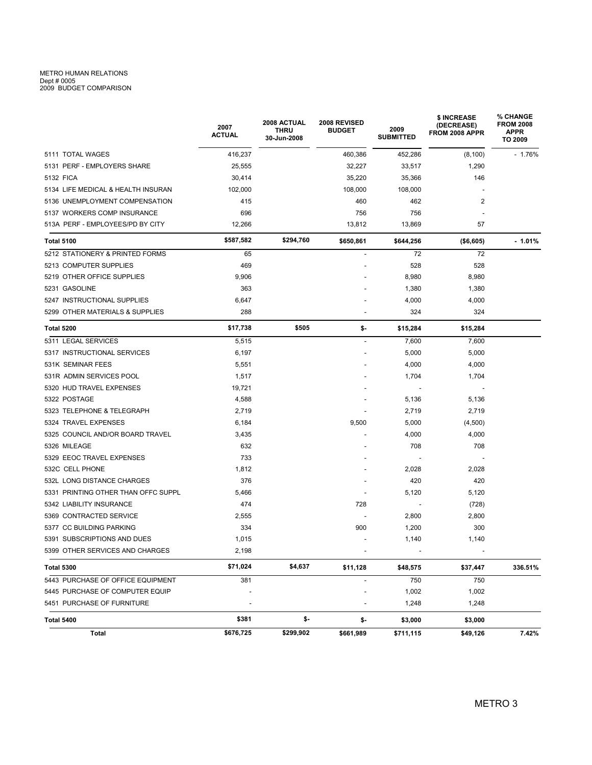# METRO HUMAN RELATIONS<br>Dept # 0005<br>2009 BUDGET COMPARISON

|                                     | 2007<br><b>ACTUAL</b> | 2008 ACTUAL<br>THRU<br>30-Jun-2008 | 2008 REVISED<br><b>BUDGET</b> | 2009<br><b>SUBMITTED</b> | \$ INCREASE<br>(DECREASE)<br>FROM 2008 APPR | <b>% CHANGE</b><br><b>FROM 2008</b><br>APPR<br>TO 2009 |  |
|-------------------------------------|-----------------------|------------------------------------|-------------------------------|--------------------------|---------------------------------------------|--------------------------------------------------------|--|
| 5111 TOTAL WAGES                    | 416,237               |                                    | 460,386                       | 452,286                  | (8, 100)                                    | $-1.76%$                                               |  |
| 5131 PERF - EMPLOYERS SHARE         | 25,555                |                                    | 32,227                        | 33,517                   | 1,290                                       |                                                        |  |
| 5132 FICA                           | 30,414                |                                    | 35,220                        | 35,366                   | 146                                         |                                                        |  |
| 5134 LIFE MEDICAL & HEALTH INSURAN  | 102,000               |                                    | 108,000                       | 108,000                  |                                             |                                                        |  |
| 5136 UNEMPLOYMENT COMPENSATION      | 415                   |                                    | 460                           | 462                      | 2                                           |                                                        |  |
| 5137 WORKERS COMP INSURANCE         | 696                   |                                    | 756                           | 756                      |                                             |                                                        |  |
| 513A PERF - EMPLOYEES/PD BY CITY    | 12,266                |                                    | 13,812                        | 13,869                   | 57                                          |                                                        |  |
| Total 5100                          | \$587,582             | \$294,760                          | \$650,861                     | \$644,256                | ( \$6,605)                                  | $-1.01%$                                               |  |
| 5212 STATIONERY & PRINTED FORMS     | 65                    |                                    | $\overline{\phantom{a}}$      | 72                       | 72                                          |                                                        |  |
| 5213 COMPUTER SUPPLIES              | 469                   |                                    |                               | 528                      | 528                                         |                                                        |  |
| 5219 OTHER OFFICE SUPPLIES          | 9,906                 |                                    |                               | 8,980                    | 8,980                                       |                                                        |  |
| 5231 GASOLINE                       | 363                   |                                    |                               | 1,380                    | 1,380                                       |                                                        |  |
| 5247 INSTRUCTIONAL SUPPLIES         | 6,647                 |                                    |                               | 4,000                    | 4,000                                       |                                                        |  |
| 5299 OTHER MATERIALS & SUPPLIES     | 288                   |                                    |                               | 324                      | 324                                         |                                                        |  |
| Total 5200                          | \$17,738              | \$505                              | \$-                           | \$15,284                 | \$15,284                                    |                                                        |  |
| 5311 LEGAL SERVICES                 | 5,515                 |                                    | $\overline{\phantom{a}}$      | 7,600                    | 7,600                                       |                                                        |  |
| 5317 INSTRUCTIONAL SERVICES         | 6,197                 |                                    |                               | 5,000                    | 5,000                                       |                                                        |  |
| 531K SEMINAR FEES                   | 5,551                 |                                    |                               | 4,000                    | 4,000                                       |                                                        |  |
| 531R ADMIN SERVICES POOL            | 1,517                 |                                    |                               | 1,704                    | 1,704                                       |                                                        |  |
| 5320 HUD TRAVEL EXPENSES            | 19,721                |                                    |                               |                          |                                             |                                                        |  |
| 5322 POSTAGE                        | 4,588                 |                                    |                               | 5,136                    | 5,136                                       |                                                        |  |
| 5323 TELEPHONE & TELEGRAPH          | 2,719                 |                                    |                               | 2,719                    | 2,719                                       |                                                        |  |
| 5324 TRAVEL EXPENSES                | 6,184                 |                                    | 9,500                         | 5,000                    | (4,500)                                     |                                                        |  |
| 5325 COUNCIL AND/OR BOARD TRAVEL    | 3,435                 |                                    |                               | 4,000                    | 4,000                                       |                                                        |  |
| 5326 MILEAGE                        | 632                   |                                    |                               | 708                      | 708                                         |                                                        |  |
| 5329 EEOC TRAVEL EXPENSES           | 733                   |                                    |                               |                          |                                             |                                                        |  |
| 532C CELL PHONE                     | 1,812                 |                                    |                               | 2,028                    | 2,028                                       |                                                        |  |
| 532L LONG DISTANCE CHARGES          | 376                   |                                    |                               | 420                      | 420                                         |                                                        |  |
| 5331 PRINTING OTHER THAN OFFC SUPPL | 5,466                 |                                    |                               | 5,120                    | 5,120                                       |                                                        |  |
| 5342 LIABILITY INSURANCE            | 474                   |                                    | 728                           |                          | (728)                                       |                                                        |  |
| 5369 CONTRACTED SERVICE             | 2,555                 |                                    |                               | 2,800                    | 2,800                                       |                                                        |  |
| 5377 CC BUILDING PARKING            | 334                   |                                    | 900                           | 1,200                    | 300                                         |                                                        |  |
| 5391 SUBSCRIPTIONS AND DUES         | 1,015                 |                                    |                               | 1,140                    | 1,140                                       |                                                        |  |
| 5399 OTHER SERVICES AND CHARGES     | 2,198                 |                                    |                               |                          |                                             |                                                        |  |
| <b>Total 5300</b>                   | \$71,024              | \$4,637                            | \$11,128                      | \$48,575                 | \$37,447                                    | 336.51%                                                |  |
| 5443 PURCHASE OF OFFICE EQUIPMENT   | 381                   |                                    | $\overline{\phantom{a}}$      | 750                      | 750                                         |                                                        |  |
| 5445 PURCHASE OF COMPUTER EQUIP     |                       |                                    |                               | 1,002                    | 1,002                                       |                                                        |  |
| 5451 PURCHASE OF FURNITURE          | $\overline{a}$        |                                    |                               | 1,248                    | 1,248                                       |                                                        |  |
| <b>Total 5400</b>                   | \$381                 | \$-                                | \$-                           | \$3,000                  | \$3,000                                     |                                                        |  |
| Total                               | \$676,725             | \$299,902                          | \$661,989                     | \$711,115                | \$49,126                                    | 7.42%                                                  |  |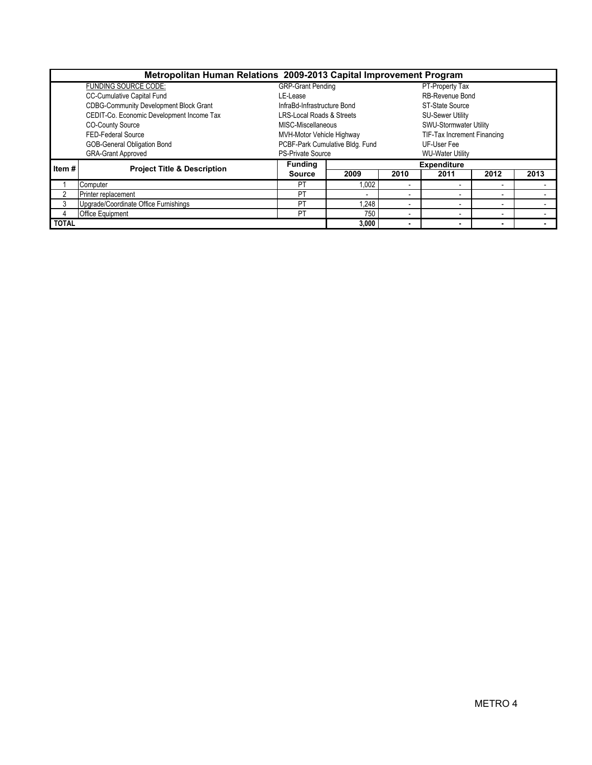| Metropolitan Human Relations 2009-2013 Capital Improvement Program |                                               |                                      |                                 |                          |                             |      |      |  |  |  |  |  |
|--------------------------------------------------------------------|-----------------------------------------------|--------------------------------------|---------------------------------|--------------------------|-----------------------------|------|------|--|--|--|--|--|
|                                                                    | FUNDING SOURCE CODE:                          | <b>GRP-Grant Pending</b>             |                                 |                          | PT-Property Tax             |      |      |  |  |  |  |  |
|                                                                    | <b>CC-Cumulative Capital Fund</b>             | LE-Lease                             |                                 |                          | RB-Revenue Bond             |      |      |  |  |  |  |  |
|                                                                    | <b>CDBG-Community Development Block Grant</b> | InfraBd-Infrastructure Bond          |                                 |                          | ST-State Source             |      |      |  |  |  |  |  |
|                                                                    | CEDIT-Co. Economic Development Income Tax     | <b>LRS-Local Roads &amp; Streets</b> |                                 |                          | <b>SU-Sewer Utility</b>     |      |      |  |  |  |  |  |
|                                                                    | <b>CO-County Source</b>                       | MISC-Miscellaneous                   |                                 |                          | SWU-Stormwater Utility      |      |      |  |  |  |  |  |
|                                                                    | FED-Federal Source                            | MVH-Motor Vehicle Highway            |                                 |                          | TIF-Tax Increment Financing |      |      |  |  |  |  |  |
|                                                                    | <b>GOB-General Obligation Bond</b>            |                                      | PCBF-Park Cumulative Bldg. Fund |                          | UF-User Fee                 |      |      |  |  |  |  |  |
| <b>GRA-Grant Approved</b>                                          |                                               | <b>PS-Private Source</b>             |                                 |                          | <b>WU-Water Utility</b>     |      |      |  |  |  |  |  |
| Item#                                                              | <b>Project Title &amp; Description</b>        | <b>Funding</b>                       | <b>Expenditure</b>              |                          |                             |      |      |  |  |  |  |  |
|                                                                    |                                               | <b>Source</b>                        | 2009                            | 2010                     | 2011                        | 2012 | 2013 |  |  |  |  |  |
|                                                                    | Computer                                      | PT                                   | 1,002                           |                          |                             |      |      |  |  |  |  |  |
| 2                                                                  | Printer replacement                           | PT                                   |                                 |                          |                             |      |      |  |  |  |  |  |
| 3                                                                  | Upgrade/Coordinate Office Furnishings         | PT                                   | 1,248                           |                          |                             |      |      |  |  |  |  |  |
| 4                                                                  | <b>Office Equipment</b>                       | PT                                   | 750                             | $\overline{\phantom{a}}$ | $\overline{\phantom{a}}$    |      |      |  |  |  |  |  |
| <b>TOTAL</b>                                                       |                                               | 3,000                                | $\overline{\phantom{0}}$        |                          |                             |      |      |  |  |  |  |  |